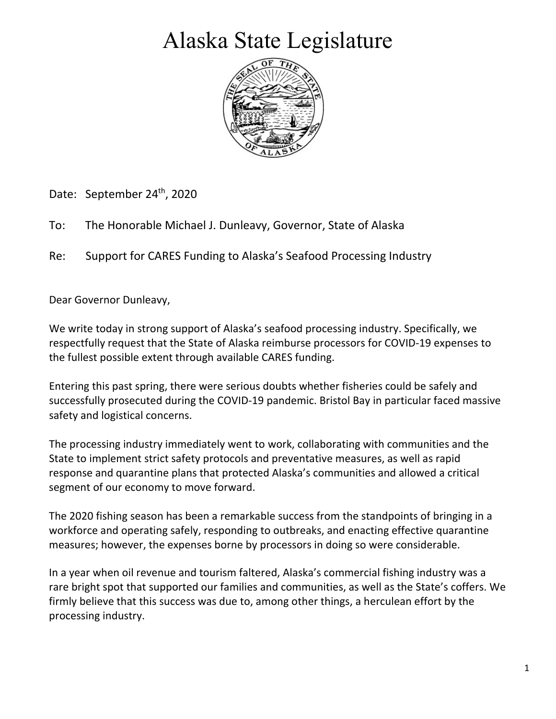## Alaska State Legislature



Date: September 24<sup>th</sup>, 2020

To: The Honorable Michael J. Dunleavy, Governor, State of Alaska

Re: Support for CARES Funding to Alaska's Seafood Processing Industry

Dear Governor Dunleavy,

We write today in strong support of Alaska's seafood processing industry. Specifically, we respectfully request that the State of Alaska reimburse processors for COVID-19 expenses to the fullest possible extent through available CARES funding.

Entering this past spring, there were serious doubts whether fisheries could be safely and successfully prosecuted during the COVID-19 pandemic. Bristol Bay in particular faced massive safety and logistical concerns.

The processing industry immediately went to work, collaborating with communities and the State to implement strict safety protocols and preventative measures, as well as rapid response and quarantine plans that protected Alaska's communities and allowed a critical segment of our economy to move forward.

The 2020 fishing season has been a remarkable success from the standpoints of bringing in a workforce and operating safely, responding to outbreaks, and enacting effective quarantine measures; however, the expenses borne by processors in doing so were considerable.

In a year when oil revenue and tourism faltered, Alaska's commercial fishing industry was a rare bright spot that supported our families and communities, as well as the State's coffers. We firmly believe that this success was due to, among other things, a herculean effort by the processing industry.